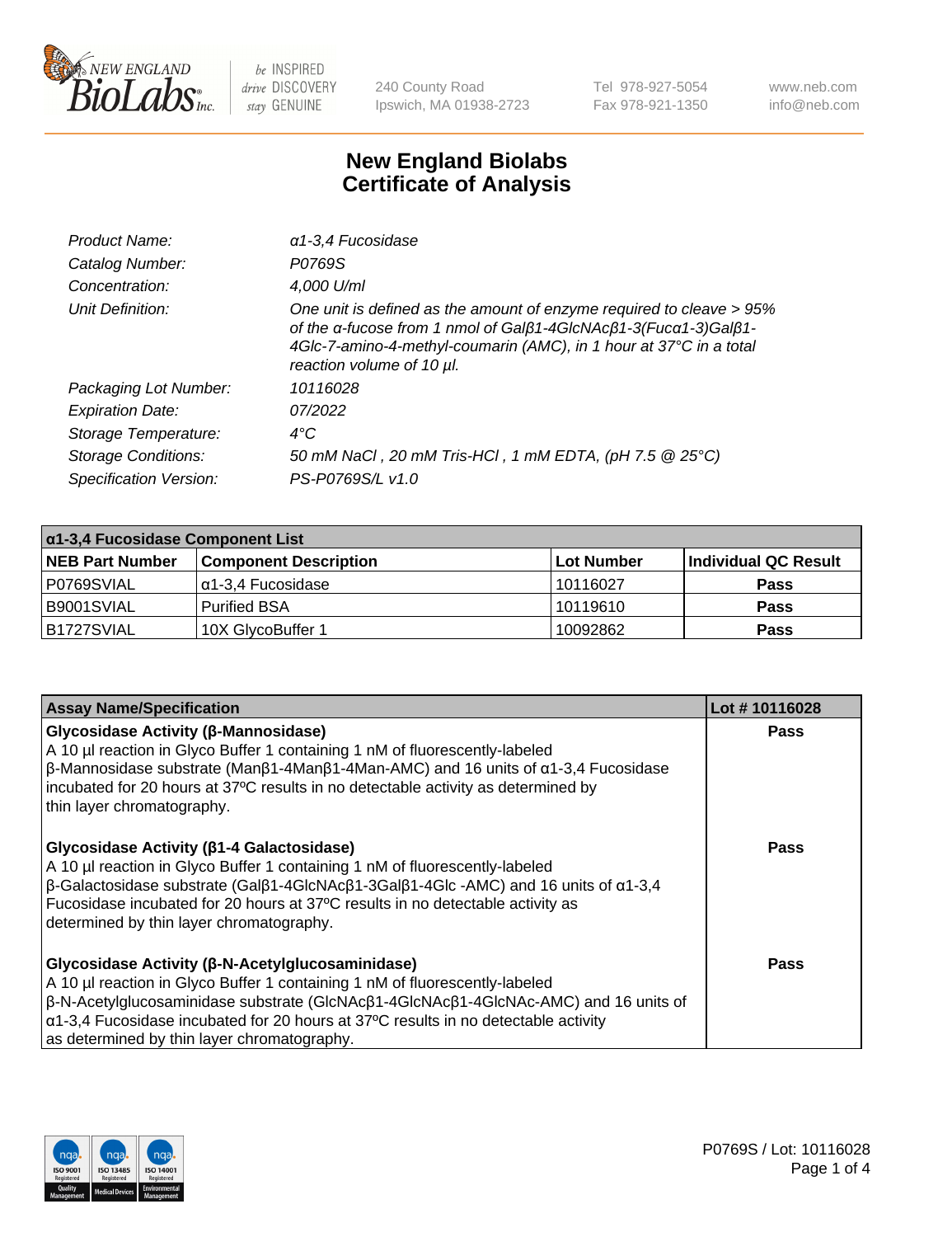

240 County Road Ipswich, MA 01938-2723 Tel 978-927-5054 Fax 978-921-1350 www.neb.com info@neb.com

## **New England Biolabs Certificate of Analysis**

| Product Name:              | a 1-3,4 Fucosidase                                                                                                                                                                                                                         |
|----------------------------|--------------------------------------------------------------------------------------------------------------------------------------------------------------------------------------------------------------------------------------------|
| Catalog Number:            | P0769S                                                                                                                                                                                                                                     |
| Concentration:             | 4,000 U/ml                                                                                                                                                                                                                                 |
| Unit Definition:           | One unit is defined as the amount of enzyme required to cleave > 95%<br>of the α-fucose from 1 nmol of Galβ1-4GIcNAcβ1-3(Fucα1-3)Galβ1-<br>4Glc-7-amino-4-methyl-coumarin (AMC), in 1 hour at 37°C in a total<br>reaction volume of 10 µl. |
| Packaging Lot Number:      | 10116028                                                                                                                                                                                                                                   |
| <b>Expiration Date:</b>    | 07/2022                                                                                                                                                                                                                                    |
| Storage Temperature:       | $4^{\circ}$ C                                                                                                                                                                                                                              |
| <b>Storage Conditions:</b> | 50 mM NaCl, 20 mM Tris-HCl, 1 mM EDTA, (pH 7.5 @ 25°C)                                                                                                                                                                                     |
| Specification Version:     | PS-P0769S/L v1.0                                                                                                                                                                                                                           |

| $\alpha$ 1-3,4 Fucosidase Component List |                              |             |                      |  |
|------------------------------------------|------------------------------|-------------|----------------------|--|
| <b>NEB Part Number</b>                   | <b>Component Description</b> | ∣Lot Number | Individual QC Result |  |
| P0769SVIAL                               | α1-3,4 Fucosidase            | 10116027    | <b>Pass</b>          |  |
| B9001SVIAL                               | <b>Purified BSA</b>          | 10119610    | <b>Pass</b>          |  |
| B1727SVIAL                               | 10X GlycoBuffer 1            | 10092862    | <b>Pass</b>          |  |

| <b>Assay Name/Specification</b>                                                                                                                                                                                                                                                                                                                                                             | Lot #10116028 |
|---------------------------------------------------------------------------------------------------------------------------------------------------------------------------------------------------------------------------------------------------------------------------------------------------------------------------------------------------------------------------------------------|---------------|
| <b>Glycosidase Activity (β-Mannosidase)</b><br>A 10 µl reaction in Glyco Buffer 1 containing 1 nM of fluorescently-labeled<br>$\beta$ -Mannosidase substrate (Man $\beta$ 1-4Man $\beta$ 1-4Man-AMC) and 16 units of $\alpha$ 1-3,4 Fucosidase<br>incubated for 20 hours at 37°C results in no detectable activity as determined by<br>thin layer chromatography.                           | <b>Pass</b>   |
| <b>Glycosidase Activity (β1-4 Galactosidase)</b><br>A 10 µl reaction in Glyco Buffer 1 containing 1 nM of fluorescently-labeled<br>$\beta$ -Galactosidase substrate (Gal $\beta$ 1-4GlcNAc $\beta$ 1-3Gal $\beta$ 1-4Glc -AMC) and 16 units of $\alpha$ 1-3,4<br>Fucosidase incubated for 20 hours at 37°C results in no detectable activity as<br>determined by thin layer chromatography. | Pass          |
| Glycosidase Activity (β-N-Acetylglucosaminidase)<br>A 10 µl reaction in Glyco Buffer 1 containing 1 nM of fluorescently-labeled<br>$\beta$ -N-Acetylglucosaminidase substrate (GIcNAc $\beta$ 1-4GIcNAc $\beta$ 1-4GIcNAc-AMC) and 16 units of<br>$\alpha$ 1-3,4 Fucosidase incubated for 20 hours at 37°C results in no detectable activity<br>as determined by thin layer chromatography. | <b>Pass</b>   |

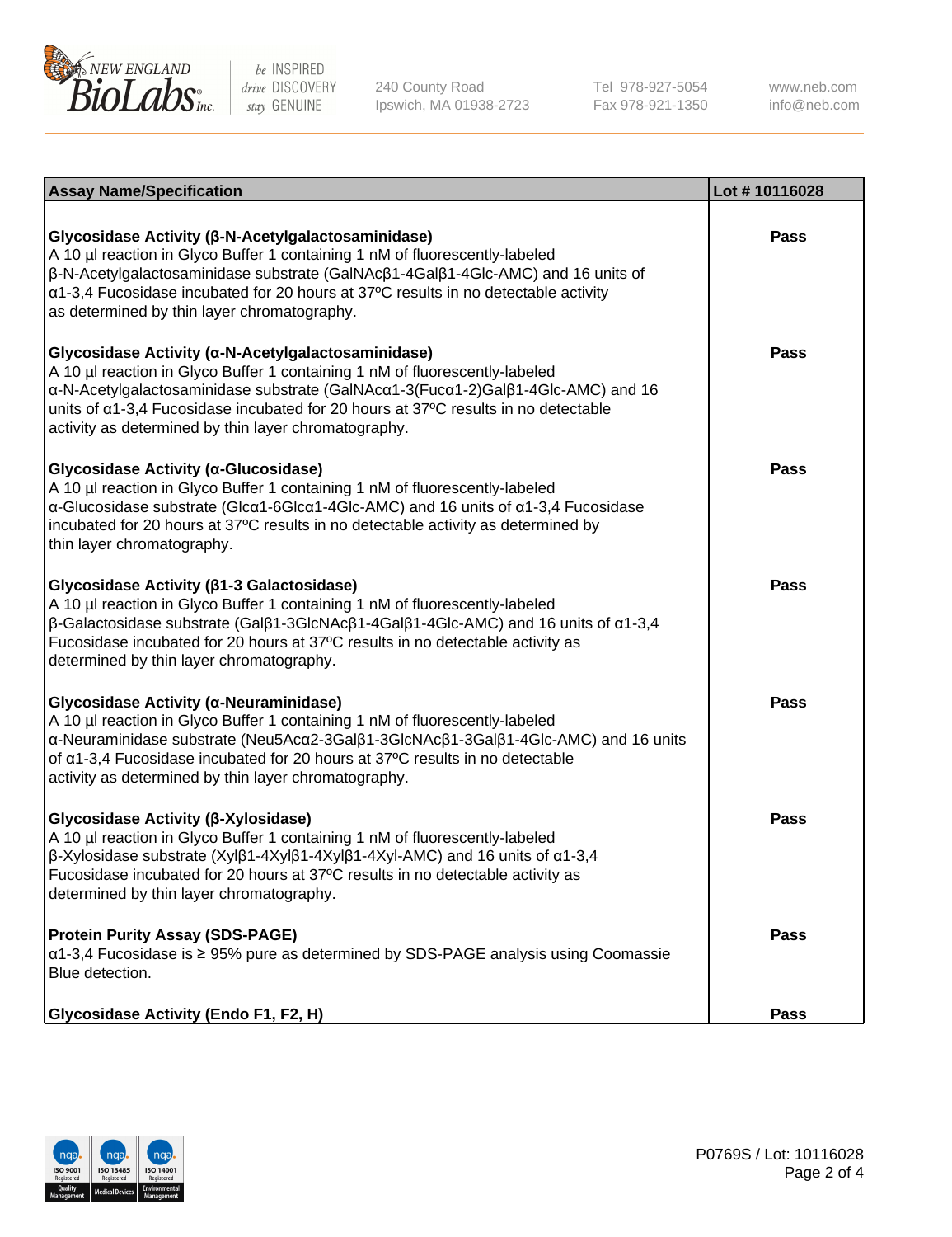

240 County Road Ipswich, MA 01938-2723 Tel 978-927-5054 Fax 978-921-1350 www.neb.com info@neb.com

| <b>Assay Name/Specification</b>                                                                                                                                                                                                                                                                                                                                                   | Lot #10116028 |
|-----------------------------------------------------------------------------------------------------------------------------------------------------------------------------------------------------------------------------------------------------------------------------------------------------------------------------------------------------------------------------------|---------------|
| Glycosidase Activity (β-N-Acetylgalactosaminidase)<br>A 10 µl reaction in Glyco Buffer 1 containing 1 nM of fluorescently-labeled<br>$\beta$ -N-Acetylgalactosaminidase substrate (GalNAc $\beta$ 1-4Gal $\beta$ 1-4Glc-AMC) and 16 units of<br>a1-3,4 Fucosidase incubated for 20 hours at 37°C results in no detectable activity<br>as determined by thin layer chromatography. | <b>Pass</b>   |
| Glycosidase Activity (α-N-Acetylgalactosaminidase)<br>A 10 µl reaction in Glyco Buffer 1 containing 1 nM of fluorescently-labeled<br>α-N-Acetylgalactosaminidase substrate (GalNAcα1-3(Fucα1-2)Galβ1-4Glc-AMC) and 16<br>units of a1-3,4 Fucosidase incubated for 20 hours at 37°C results in no detectable<br>activity as determined by thin layer chromatography.               | <b>Pass</b>   |
| Glycosidase Activity (α-Glucosidase)<br>A 10 µl reaction in Glyco Buffer 1 containing 1 nM of fluorescently-labeled<br>α-Glucosidase substrate (Glcα1-6Glcα1-4Glc-AMC) and 16 units of α1-3,4 Fucosidase<br>incubated for 20 hours at 37°C results in no detectable activity as determined by<br>thin layer chromatography.                                                       | <b>Pass</b>   |
| Glycosidase Activity ( $\beta$ 1-3 Galactosidase)<br>A 10 µl reaction in Glyco Buffer 1 containing 1 nM of fluorescently-labeled<br>$\beta$ -Galactosidase substrate (Galβ1-3GlcNAcβ1-4Galβ1-4Glc-AMC) and 16 units of α1-3,4<br>Fucosidase incubated for 20 hours at 37°C results in no detectable activity as<br>determined by thin layer chromatography.                       | <b>Pass</b>   |
| Glycosidase Activity (α-Neuraminidase)<br>A 10 µl reaction in Glyco Buffer 1 containing 1 nM of fluorescently-labeled<br>α-Neuraminidase substrate (Neu5Acα2-3Galβ1-3GlcNAcβ1-3Galβ1-4Glc-AMC) and 16 units<br>of a1-3,4 Fucosidase incubated for 20 hours at 37°C results in no detectable<br>activity as determined by thin layer chromatography.                               | <b>Pass</b>   |
| Glycosidase Activity (β-Xylosidase)<br>A 10 µl reaction in Glyco Buffer 1 containing 1 nM of fluorescently-labeled<br>β-Xylosidase substrate (Xylβ1-4Xylβ1-4Xylβ1-4Xyl-AMC) and 16 units of α1-3,4<br>Fucosidase incubated for 20 hours at 37°C results in no detectable activity as<br>determined by thin layer chromatography.                                                  | <b>Pass</b>   |
| <b>Protein Purity Assay (SDS-PAGE)</b><br>$\alpha$ 1-3,4 Fucosidase is $\geq$ 95% pure as determined by SDS-PAGE analysis using Coomassie<br>Blue detection.                                                                                                                                                                                                                      | Pass          |
| <b>Glycosidase Activity (Endo F1, F2, H)</b>                                                                                                                                                                                                                                                                                                                                      | Pass          |

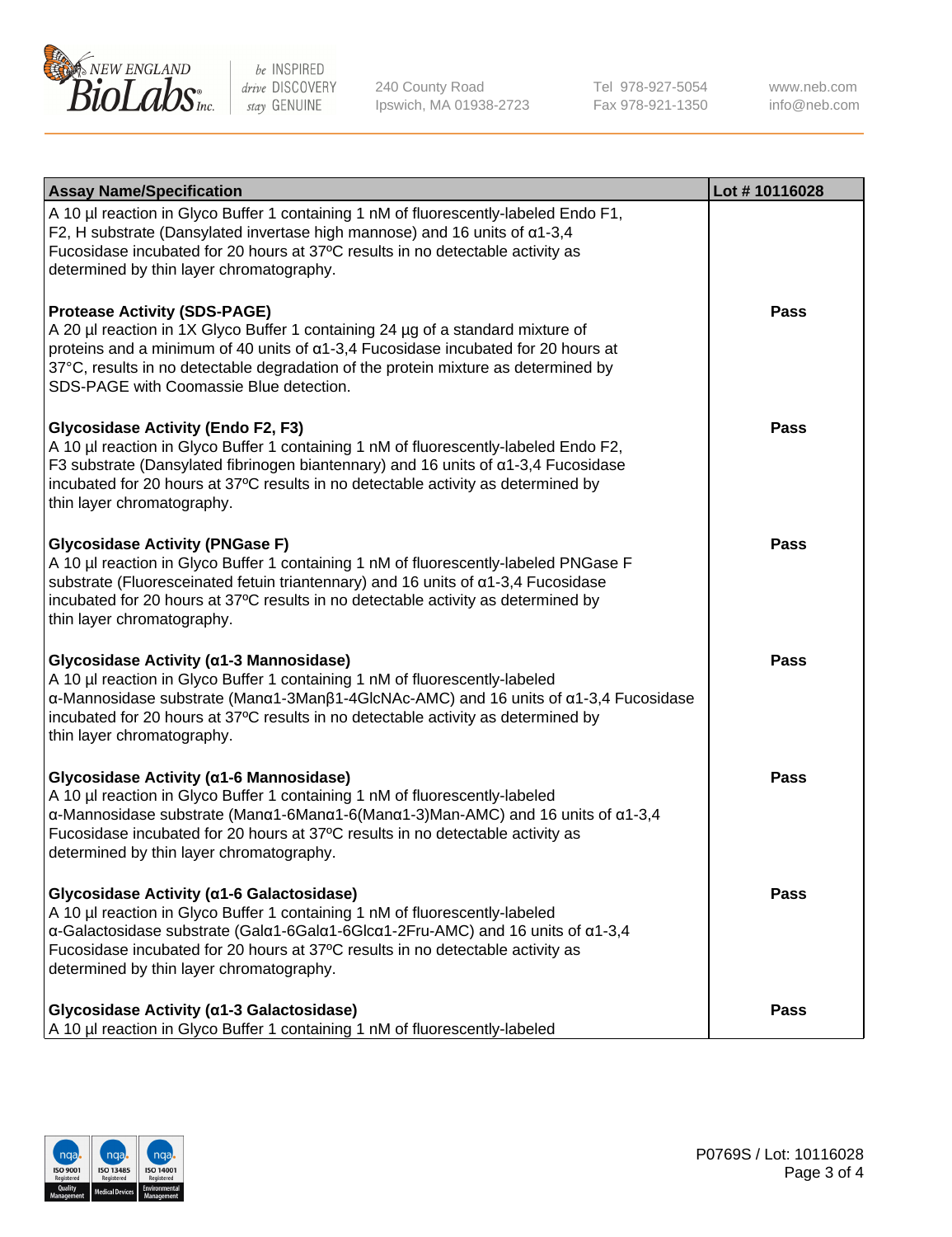

240 County Road Ipswich, MA 01938-2723 Tel 978-927-5054 Fax 978-921-1350 www.neb.com info@neb.com

| <b>Assay Name/Specification</b>                                                                                                                                                                                                                                                                                                                                                      | Lot #10116028 |
|--------------------------------------------------------------------------------------------------------------------------------------------------------------------------------------------------------------------------------------------------------------------------------------------------------------------------------------------------------------------------------------|---------------|
| A 10 µl reaction in Glyco Buffer 1 containing 1 nM of fluorescently-labeled Endo F1,<br>F2, H substrate (Dansylated invertase high mannose) and 16 units of $\alpha$ 1-3,4<br>Fucosidase incubated for 20 hours at 37°C results in no detectable activity as<br>determined by thin layer chromatography.                                                                             |               |
| <b>Protease Activity (SDS-PAGE)</b><br>A 20 µl reaction in 1X Glyco Buffer 1 containing 24 µg of a standard mixture of<br>proteins and a minimum of 40 units of $\alpha$ 1-3,4 Fucosidase incubated for 20 hours at<br>37°C, results in no detectable degradation of the protein mixture as determined by<br>SDS-PAGE with Coomassie Blue detection.                                 | <b>Pass</b>   |
| <b>Glycosidase Activity (Endo F2, F3)</b><br>A 10 µl reaction in Glyco Buffer 1 containing 1 nM of fluorescently-labeled Endo F2,<br>F3 substrate (Dansylated fibrinogen biantennary) and 16 units of $\alpha$ 1-3,4 Fucosidase<br>incubated for 20 hours at 37°C results in no detectable activity as determined by<br>thin layer chromatography.                                   | <b>Pass</b>   |
| <b>Glycosidase Activity (PNGase F)</b><br>A 10 µl reaction in Glyco Buffer 1 containing 1 nM of fluorescently-labeled PNGase F<br>substrate (Fluoresceinated fetuin triantennary) and 16 units of α1-3,4 Fucosidase<br>incubated for 20 hours at 37°C results in no detectable activity as determined by<br>thin layer chromatography.                                               | <b>Pass</b>   |
| Glycosidase Activity (α1-3 Mannosidase)<br>A 10 µl reaction in Glyco Buffer 1 containing 1 nM of fluorescently-labeled<br>$\alpha$ -Mannosidase substrate (Man $\alpha$ 1-3Man $\beta$ 1-4GlcNAc-AMC) and 16 units of $\alpha$ 1-3,4 Fucosidase<br>incubated for 20 hours at 37°C results in no detectable activity as determined by<br>thin layer chromatography.                   | <b>Pass</b>   |
| Glycosidase Activity (α1-6 Mannosidase)<br>A 10 µl reaction in Glyco Buffer 1 containing 1 nM of fluorescently-labeled<br>$\alpha$ -Mannosidase substrate (Man $\alpha$ 1-6Man $\alpha$ 1-6(Man $\alpha$ 1-3)Man-AMC) and 16 units of $\alpha$ 1-3,4<br>Fucosidase incubated for 20 hours at 37°C results in no detectable activity as<br>determined by thin layer chromatography.   | <b>Pass</b>   |
| Glycosidase Activity (α1-6 Galactosidase)<br>A 10 µl reaction in Glyco Buffer 1 containing 1 nM of fluorescently-labeled<br>$\alpha$ -Galactosidase substrate (Gal $\alpha$ 1-6Gal $\alpha$ 1-6Glc $\alpha$ 1-2Fru-AMC) and 16 units of $\alpha$ 1-3,4<br>Fucosidase incubated for 20 hours at 37°C results in no detectable activity as<br>determined by thin layer chromatography. | <b>Pass</b>   |
| Glycosidase Activity (α1-3 Galactosidase)<br>A 10 µl reaction in Glyco Buffer 1 containing 1 nM of fluorescently-labeled                                                                                                                                                                                                                                                             | <b>Pass</b>   |